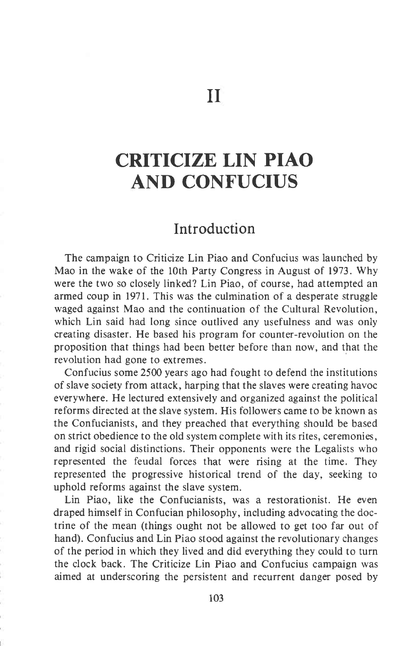## CRITICIZE LIN PIAO AND CONFUCIUS

## Introduction

The campaign to Criticize Lin Piao and Confucius was launched by Mao in the wake of the l0th Party Congress in August of 1973. Why were the two so closely linked? Lin Piao, of course, had attempted an armed coup in 1971. This was the culmination of a desperate struggle waged against Mao and the continuation of the Cultural Revolution, which Lin said had long since outlived any usefulness and was only creating disaster. He based his program for counter-revolution on the proposition that things had been better before than now, and that the revolution had gone to extremes.

Confucius some 2500 years ago had fought to defend the institutions of slave society from attack, harping that the slaves were creating havoc everywhere. He lectured extensively and organized against the political reforms directed at the slave system. His followers came to be known as the Confucianists, and they preached that everything should be based on strict obedience to the old system complete with its rites, ceremonies, and rigid social distinctions. Their opponents were the Legalists who represented the feudal forces that were rising at the time. They represented the progressive historical trend of the day, seeking to uphold reforms against the slave system.

Lin Piao, like the Confucianists, was a restorationist. He even draped himself in Confucian philosophy, including advocating the doctrine of the mean (things ought not be allowed to get too far out of hand). Confucius and Lin Piao stood against the revolutionary changes of the period in which they lived and did everything they could to turn the clock back. The Criticize Lin Piao and Confucius campaign was aimed at underscoring the persistent and recurrent danger posed by